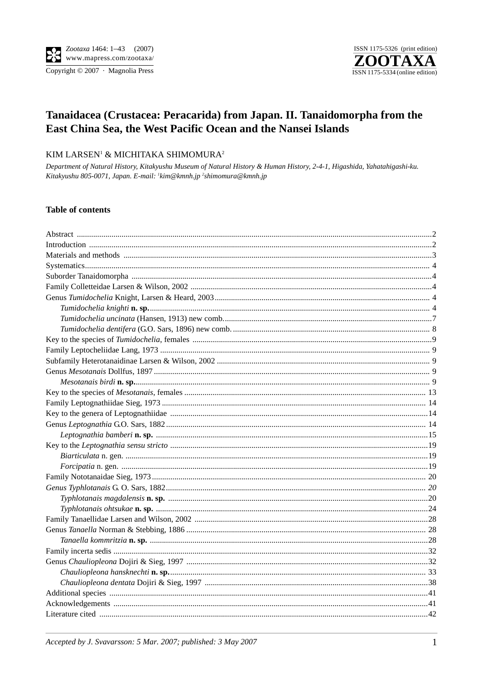

# Tanaidacea (Crustacea: Peracarida) from Japan. II. Tanaidomorpha from the East China Sea, the West Pacific Ocean and the Nansei Islands

## KIM LARSEN<sup>1</sup> & MICHITAKA SHIMOMURA<sup>2</sup>

Department of Natural History, Kitakyushu Museum of Natural History & Human History, 2-4-1, Higashida, Yahatahigashi-ku. Kitakyushu 805-0071, Japan. E-mail: 'kim@kmnh.jp <sup>2</sup>shimomura@kmnh.jp

### **Table of contents**

Accepted by J. Svavarsson: 5 Mar. 2007; published: 3 May 2007